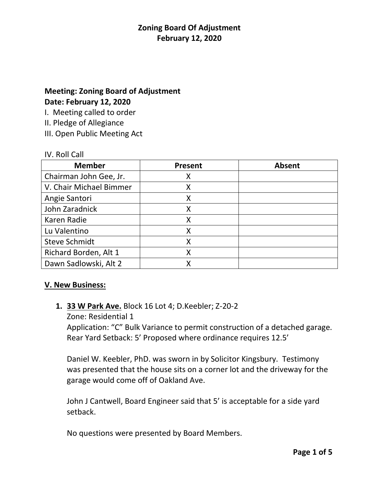# **Meeting: Zoning Board of Adjustment Date: February 12, 2020**

I. Meeting called to order

II. Pledge of Allegiance

III. Open Public Meeting Act

#### IV. Roll Call

| <b>Member</b>           | <b>Present</b> | <b>Absent</b> |
|-------------------------|----------------|---------------|
| Chairman John Gee, Jr.  | Χ              |               |
| V. Chair Michael Bimmer | Χ              |               |
| Angie Santori           |                |               |
| John Zaradnick          |                |               |
| Karen Radie             | χ              |               |
| Lu Valentino            |                |               |
| <b>Steve Schmidt</b>    |                |               |
| Richard Borden, Alt 1   | Χ              |               |
| Dawn Sadlowski, Alt 2   |                |               |

# **V. New Business:**

# **1. 33 W Park Ave.** Block 16 Lot 4; D.Keebler; Z-20-2

Zone: Residential 1

Application: "C" Bulk Variance to permit construction of a detached garage. Rear Yard Setback: 5' Proposed where ordinance requires 12.5'

Daniel W. Keebler, PhD. was sworn in by Solicitor Kingsbury. Testimony was presented that the house sits on a corner lot and the driveway for the garage would come off of Oakland Ave.

John J Cantwell, Board Engineer said that 5' is acceptable for a side yard setback.

No questions were presented by Board Members.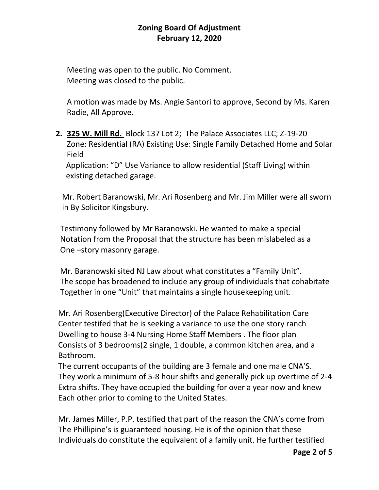Meeting was open to the public. No Comment. Meeting was closed to the public.

A motion was made by Ms. Angie Santori to approve, Second by Ms. Karen Radie, All Approve.

**2. 325 W. Mill Rd.** Block 137 Lot 2; The Palace Associates LLC; Z-19-20 Zone: Residential (RA) Existing Use: Single Family Detached Home and Solar Field

 Application: "D" Use Variance to allow residential (Staff Living) within existing detached garage.

 Mr. Robert Baranowski, Mr. Ari Rosenberg and Mr. Jim Miller were all sworn in By Solicitor Kingsbury.

 Testimony followed by Mr Baranowski. He wanted to make a special Notation from the Proposal that the structure has been mislabeled as a One –story masonry garage.

 Mr. Baranowski sited NJ Law about what constitutes a "Family Unit". The scope has broadened to include any group of individuals that cohabitate Together in one "Unit" that maintains a single housekeeping unit.

 Mr. Ari Rosenberg(Executive Director) of the Palace Rehabilitation Care Center testifed that he is seeking a variance to use the one story ranch Dwelling to house 3-4 Nursing Home Staff Members . The floor plan Consists of 3 bedrooms(2 single, 1 double, a common kitchen area, and a Bathroom.

 The current occupants of the building are 3 female and one male CNA'S. They work a minimum of 5-8 hour shifts and generally pick up overtime of 2-4 Extra shifts. They have occupied the building for over a year now and knew Each other prior to coming to the United States.

 Mr. James Miller, P.P. testified that part of the reason the CNA's come from The Phillipine's is guaranteed housing. He is of the opinion that these Individuals do constitute the equivalent of a family unit. He further testified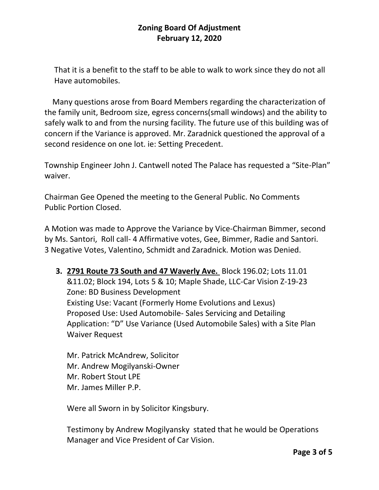That it is a benefit to the staff to be able to walk to work since they do not all Have automobiles.

 Many questions arose from Board Members regarding the characterization of the family unit, Bedroom size, egress concerns(small windows) and the ability to safely walk to and from the nursing facility. The future use of this building was of concern if the Variance is approved. Mr. Zaradnick questioned the approval of a second residence on one lot. ie: Setting Precedent.

Township Engineer John J. Cantwell noted The Palace has requested a "Site-Plan" waiver.

Chairman Gee Opened the meeting to the General Public. No Comments Public Portion Closed.

A Motion was made to Approve the Variance by Vice-Chairman Bimmer, second by Ms. Santori, Roll call- 4 Affirmative votes, Gee, Bimmer, Radie and Santori. 3 Negative Votes, Valentino, Schmidt and Zaradnick. Motion was Denied.

**3. 2791 Route 73 South and 47 Waverly Ave.** Block 196.02; Lots 11.01 &11.02; Block 194, Lots 5 & 10; Maple Shade, LLC-Car Vision Z-19-23 Zone: BD Business Development Existing Use: Vacant (Formerly Home Evolutions and Lexus) Proposed Use: Used Automobile- Sales Servicing and Detailing Application: "D" Use Variance (Used Automobile Sales) with a Site Plan Waiver Request

Mr. Patrick McAndrew, Solicitor Mr. Andrew Mogilyanski-Owner Mr. Robert Stout LPE Mr. James Miller P.P.

Were all Sworn in by Solicitor Kingsbury.

Testimony by Andrew Mogilyansky stated that he would be Operations Manager and Vice President of Car Vision.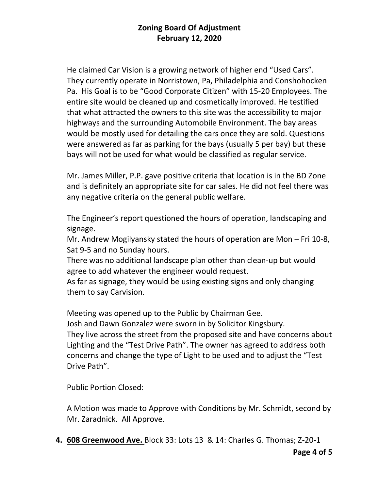He claimed Car Vision is a growing network of higher end "Used Cars". They currently operate in Norristown, Pa, Philadelphia and Conshohocken Pa. His Goal is to be "Good Corporate Citizen" with 15-20 Employees. The entire site would be cleaned up and cosmetically improved. He testified that what attracted the owners to this site was the accessibility to major highways and the surrounding Automobile Environment. The bay areas would be mostly used for detailing the cars once they are sold. Questions were answered as far as parking for the bays (usually 5 per bay) but these bays will not be used for what would be classified as regular service.

Mr. James Miller, P.P. gave positive criteria that location is in the BD Zone and is definitely an appropriate site for car sales. He did not feel there was any negative criteria on the general public welfare.

The Engineer's report questioned the hours of operation, landscaping and signage.

Mr. Andrew Mogilyansky stated the hours of operation are Mon – Fri 10-8, Sat 9-5 and no Sunday hours.

There was no additional landscape plan other than clean-up but would agree to add whatever the engineer would request.

As far as signage, they would be using existing signs and only changing them to say Carvision.

Meeting was opened up to the Public by Chairman Gee.

Josh and Dawn Gonzalez were sworn in by Solicitor Kingsbury. They live across the street from the proposed site and have concerns about Lighting and the "Test Drive Path". The owner has agreed to address both concerns and change the type of Light to be used and to adjust the "Test Drive Path".

Public Portion Closed:

A Motion was made to Approve with Conditions by Mr. Schmidt, second by Mr. Zaradnick. All Approve.

**4. 608 Greenwood Ave.** Block 33: Lots 13 & 14: Charles G. Thomas; Z-20-1